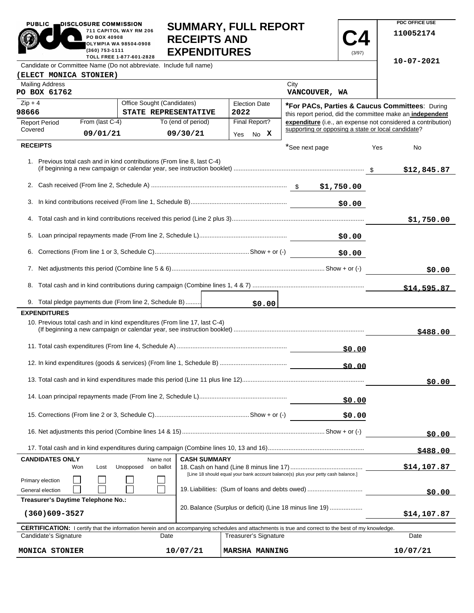| <b>PUBLIC</b>                                                                                                                                                                           | DISCLOSURE COMMISSION<br>PO BOX 40908<br>(360) 753-1111                                                             | 711 CAPITOL WAY RM 206<br>OLYMPIA WA 98504-0908<br>TOLL FREE 1-877-601-2828 | <b>RECEIPTS AND</b><br><b>EXPENDITURES</b> | <b>SUMMARY, FULL REPORT</b> |                                                                                                                                                            | (3/97) |             | PDC OFFICE USE<br>110052174                                  |
|-----------------------------------------------------------------------------------------------------------------------------------------------------------------------------------------|---------------------------------------------------------------------------------------------------------------------|-----------------------------------------------------------------------------|--------------------------------------------|-----------------------------|------------------------------------------------------------------------------------------------------------------------------------------------------------|--------|-------------|--------------------------------------------------------------|
| Candidate or Committee Name (Do not abbreviate. Include full name)                                                                                                                      |                                                                                                                     |                                                                             |                                            |                             |                                                                                                                                                            |        |             | 10-07-2021                                                   |
| (ELECT MONICA STONIER)                                                                                                                                                                  |                                                                                                                     |                                                                             |                                            |                             |                                                                                                                                                            |        |             |                                                              |
| <b>Mailing Address</b><br>PO BOX 61762                                                                                                                                                  |                                                                                                                     |                                                                             |                                            |                             | City<br>VANCOUVER, WA                                                                                                                                      |        |             |                                                              |
| $Zip + 4$                                                                                                                                                                               |                                                                                                                     | Office Sought (Candidates)                                                  |                                            | <b>Election Date</b>        | *For PACs, Parties & Caucus Committees: During                                                                                                             |        |             |                                                              |
| 98666                                                                                                                                                                                   |                                                                                                                     | STATE REPRESENTATIVE                                                        |                                            | 2022                        |                                                                                                                                                            |        |             | this report period, did the committee make an independent    |
| <b>Report Period</b><br>Covered                                                                                                                                                         | From (last C-4)                                                                                                     |                                                                             | To (end of period)                         | Final Report?               | supporting or opposing a state or local candidate?                                                                                                         |        |             | expenditure (i.e., an expense not considered a contribution) |
|                                                                                                                                                                                         | 09/01/21                                                                                                            |                                                                             | 09/30/21                                   | No X<br>Yes                 |                                                                                                                                                            |        |             |                                                              |
| <b>RECEIPTS</b>                                                                                                                                                                         |                                                                                                                     |                                                                             |                                            |                             | *See next page                                                                                                                                             |        | Yes         | No                                                           |
|                                                                                                                                                                                         |                                                                                                                     | 1. Previous total cash and in kind contributions (From line 8, last C-4)    |                                            |                             |                                                                                                                                                            |        |             | \$12,845.87                                                  |
|                                                                                                                                                                                         |                                                                                                                     |                                                                             |                                            |                             |                                                                                                                                                            |        |             |                                                              |
|                                                                                                                                                                                         |                                                                                                                     |                                                                             |                                            |                             |                                                                                                                                                            | \$0.00 |             |                                                              |
|                                                                                                                                                                                         |                                                                                                                     |                                                                             |                                            |                             |                                                                                                                                                            |        |             | \$1,750.00                                                   |
|                                                                                                                                                                                         |                                                                                                                     |                                                                             |                                            |                             |                                                                                                                                                            |        |             |                                                              |
|                                                                                                                                                                                         |                                                                                                                     |                                                                             |                                            |                             |                                                                                                                                                            | \$0.00 |             |                                                              |
|                                                                                                                                                                                         |                                                                                                                     |                                                                             |                                            |                             |                                                                                                                                                            |        |             | \$0.00                                                       |
|                                                                                                                                                                                         |                                                                                                                     |                                                                             |                                            |                             |                                                                                                                                                            |        |             | \$14,595.87                                                  |
|                                                                                                                                                                                         |                                                                                                                     | 9. Total pledge payments due (From line 2, Schedule B)                      |                                            | \$0.00                      |                                                                                                                                                            |        |             |                                                              |
| <b>EXPENDITURES</b>                                                                                                                                                                     |                                                                                                                     | 10. Previous total cash and in kind expenditures (From line 17, last C-4)   |                                            |                             |                                                                                                                                                            |        |             | \$488.00                                                     |
|                                                                                                                                                                                         |                                                                                                                     |                                                                             |                                            |                             |                                                                                                                                                            | \$0.00 |             |                                                              |
|                                                                                                                                                                                         |                                                                                                                     |                                                                             |                                            |                             |                                                                                                                                                            | \$0.00 |             |                                                              |
|                                                                                                                                                                                         |                                                                                                                     |                                                                             |                                            |                             |                                                                                                                                                            |        |             | \$0.00                                                       |
|                                                                                                                                                                                         |                                                                                                                     |                                                                             |                                            |                             |                                                                                                                                                            | \$0.00 |             |                                                              |
|                                                                                                                                                                                         |                                                                                                                     |                                                                             |                                            |                             |                                                                                                                                                            | \$0.00 |             |                                                              |
|                                                                                                                                                                                         |                                                                                                                     |                                                                             |                                            |                             |                                                                                                                                                            |        |             | \$0.00                                                       |
|                                                                                                                                                                                         |                                                                                                                     |                                                                             |                                            |                             |                                                                                                                                                            |        |             | \$488.00                                                     |
| <b>CASH SUMMARY</b><br><b>CANDIDATES ONLY</b><br>Name not<br>Unopposed<br>on ballot<br>Won<br>Lost<br>[Line 18 should equal your bank account balance(s) plus your petty cash balance.] |                                                                                                                     |                                                                             |                                            |                             |                                                                                                                                                            |        | \$14,107.87 |                                                              |
| Primary election<br>General election                                                                                                                                                    |                                                                                                                     | 19. Liabilities: (Sum of loans and debts owed)                              |                                            |                             |                                                                                                                                                            |        |             | \$0.00                                                       |
|                                                                                                                                                                                         | Treasurer's Daytime Telephone No.:<br>20. Balance (Surplus or deficit) (Line 18 minus line 19)<br>$(360)609 - 3527$ |                                                                             |                                            |                             |                                                                                                                                                            |        |             | \$14,107.87                                                  |
|                                                                                                                                                                                         |                                                                                                                     |                                                                             |                                            |                             |                                                                                                                                                            |        |             |                                                              |
| Candidate's Signature                                                                                                                                                                   |                                                                                                                     | Date                                                                        |                                            | Treasurer's Signature       | <b>CERTIFICATION:</b> I certify that the information herein and on accompanying schedules and attachments is true and correct to the best of my knowledge. |        |             | Date                                                         |
| MONICA STONIER                                                                                                                                                                          |                                                                                                                     |                                                                             | 10/07/21                                   | <b>MARSHA MANNING</b>       |                                                                                                                                                            |        |             | 10/07/21                                                     |

**PDC OFFICE USE**